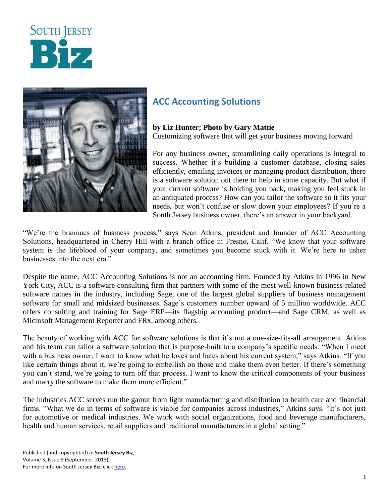



## **ACC Accounting Solutions**

## **by Liz Hunter; Photo by Gary Mattie**

Customizing software that will get your business moving forward

For any business owner, streamlining daily operations is integral to success. Whether it's building a customer database, closing sales efficiently, emailing invoices or managing product distribution, there is a software solution out there to help in some capacity. But what if your current software is holding you back, making you feel stuck in an antiquated process? How can you tailor the software so it fits your needs, but won't confuse or slow down your employees? If you're a South Jersey business owner, there's an answer in your backyard.

"We're the brainiacs of business process," says Sean Atkins, president and founder of ACC Accounting Solutions, headquartered in Cherry Hill with a branch office in Fresno, Calif. "We know that your software system is the lifeblood of your company, and sometimes you become stuck with it. We're here to usher businesses into the next era."

Despite the name, ACC Accounting Solutions is not an accounting firm. Founded by Atkins in 1996 in New York City, ACC is a software consulting firm that partners with some of the most well-known business-related software names in the industry, including Sage, one of the largest global suppliers of business management software for small and midsized businesses. Sage's customers number upward of 5 million worldwide. ACC offers consulting and training for Sage ERP—its flagship accounting product—and Sage CRM, as well as Microsoft Management Reporter and FRx, among others.

The beauty of working with ACC for software solutions is that it's not a one-size-fits-all arrangement. Atkins and his team can tailor a software solution that is purpose-built to a company's specific needs. "When I meet with a business owner, I want to know what he loves and hates about his current system," says Atkins. "If you like certain things about it, we're going to embellish on those and make them even better. If there's something you can't stand, we're going to turn off that process. I want to know the critical components of your business and marry the software to make them more efficient."

The industries ACC serves run the gamut from light manufacturing and distribution to health care and financial firms. "What we do in terms of software is viable for companies across industries," Atkins says. "It's not just for automotive or medical industries. We work with social organizations, food and beverage manufacturers, health and human services, retail suppliers and traditional manufacturers in a global setting."